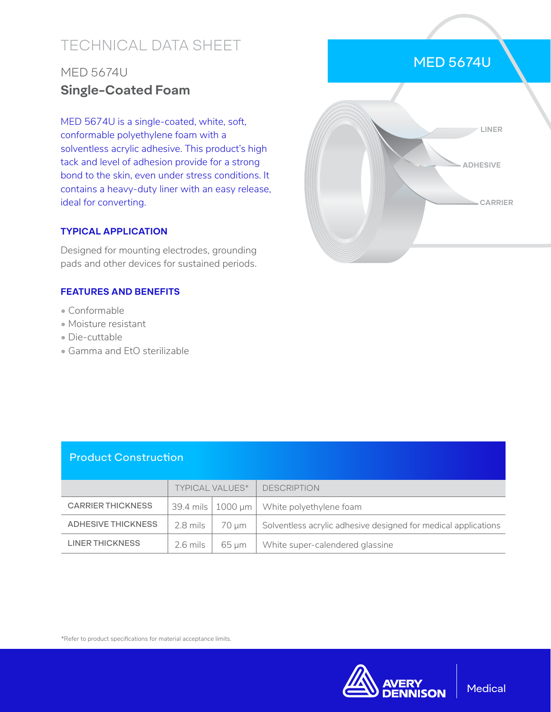# TECHNICAL DATA SHEET

# MED 5674U **Single-Coated Foam**

MED 5674U is a single-coated, white, soft, conformable polyethylene foam with a solventless acrylic adhesive. This product's high tack and level of adhesion provide for a strong bond to the skin, even under stress conditions. It contains a heavy-duty liner with an easy release, ideal for converting.

## **TYPICAL APPLICATION**

Designed for mounting electrodes, grounding pads and other devices for sustained periods.

## **FEATURES AND BENEFITS**

- Conformable
- Moisture resistant
- Die-cuttable
- Gamma and EtO sterilizable

| LINER           |  |
|-----------------|--|
| <b>ADHESIVE</b> |  |
| <b>CARRIER</b>  |  |
|                 |  |

MED 5674U

| <b>Product Construction</b> |                        |                         |                                                                |
|-----------------------------|------------------------|-------------------------|----------------------------------------------------------------|
|                             | <b>TYPICAL VALUES*</b> |                         | <b>DESCRIPTION</b>                                             |
| <b>CARRIER THICKNESS</b>    |                        | 39.4 mils $ 1000 \mu m$ | White polyethylene foam                                        |
| ADHESIVE THICKNESS          | 2.8 mils               | 70 µm                   | Solventless acrylic adhesive designed for medical applications |
| <b>LINER THICKNESS</b>      | 2.6 mils               | 65 um                   | White super-calendered glassine                                |